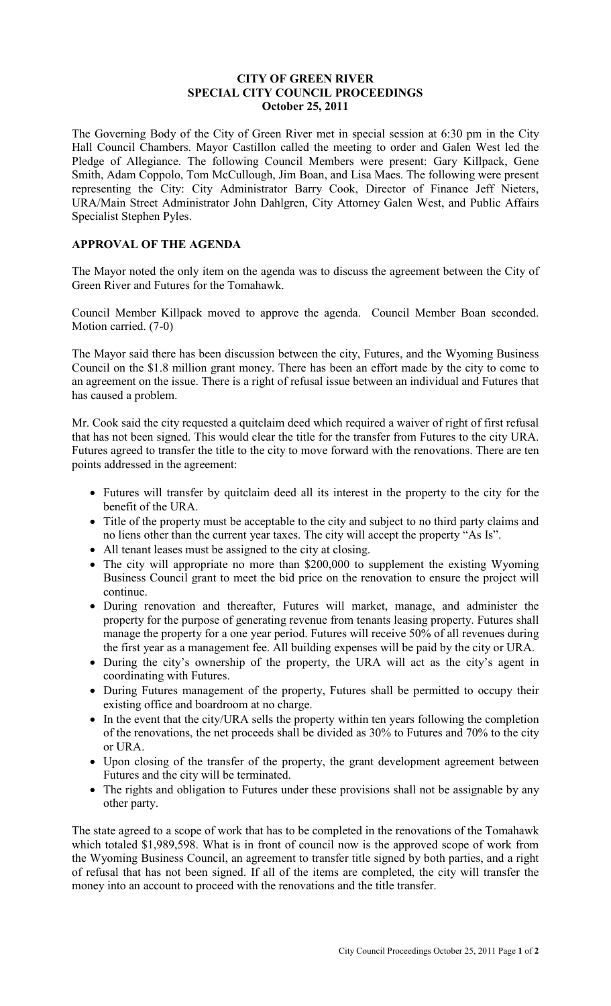### **CITY OF GREEN RIVER SPECIAL CITY COUNCIL PROCEEDINGS October 25, 2011**

The Governing Body of the City of Green River met in special session at 6:30 pm in the City Hall Council Chambers. Mayor Castillon called the meeting to order and Galen West led the Pledge of Allegiance. The following Council Members were present: Gary Killpack, Gene Smith, Adam Coppolo, Tom McCullough, Jim Boan, and Lisa Maes. The following were present representing the City: City Administrator Barry Cook, Director of Finance Jeff Nieters, URA/Main Street Administrator John Dahlgren, City Attorney Galen West, and Public Affairs Specialist Stephen Pyles.

# **APPROVAL OF THE AGENDA**

The Mayor noted the only item on the agenda was to discuss the agreement between the City of Green River and Futures for the Tomahawk.

Council Member Killpack moved to approve the agenda. Council Member Boan seconded. Motion carried. (7-0)

The Mayor said there has been discussion between the city, Futures, and the Wyoming Business Council on the \$1.8 million grant money. There has been an effort made by the city to come to an agreement on the issue. There is a right of refusal issue between an individual and Futures that has caused a problem.

Mr. Cook said the city requested a quitclaim deed which required a waiver of right of first refusal that has not been signed. This would clear the title for the transfer from Futures to the city URA. Futures agreed to transfer the title to the city to move forward with the renovations. There are ten points addressed in the agreement:

- Futures will transfer by quitclaim deed all its interest in the property to the city for the benefit of the URA.
- Title of the property must be acceptable to the city and subject to no third party claims and no liens other than the current year taxes. The city will accept the property "As Is".
- All tenant leases must be assigned to the city at closing.
- The city will appropriate no more than \$200,000 to supplement the existing Wyoming Business Council grant to meet the bid price on the renovation to ensure the project will continue.
- During renovation and thereafter, Futures will market, manage, and administer the property for the purpose of generating revenue from tenants leasing property. Futures shall manage the property for a one year period. Futures will receive 50% of all revenues during the first year as a management fee. All building expenses will be paid by the city or URA.
- During the city's ownership of the property, the URA will act as the city's agent in coordinating with Futures.
- During Futures management of the property, Futures shall be permitted to occupy their existing office and boardroom at no charge.
- In the event that the city/URA sells the property within ten years following the completion of the renovations, the net proceeds shall be divided as 30% to Futures and 70% to the city or URA.
- Upon closing of the transfer of the property, the grant development agreement between Futures and the city will be terminated.
- The rights and obligation to Futures under these provisions shall not be assignable by any other party.

The state agreed to a scope of work that has to be completed in the renovations of the Tomahawk which totaled \$1,989,598. What is in front of council now is the approved scope of work from the Wyoming Business Council, an agreement to transfer title signed by both parties, and a right of refusal that has not been signed. If all of the items are completed, the city will transfer the money into an account to proceed with the renovations and the title transfer.